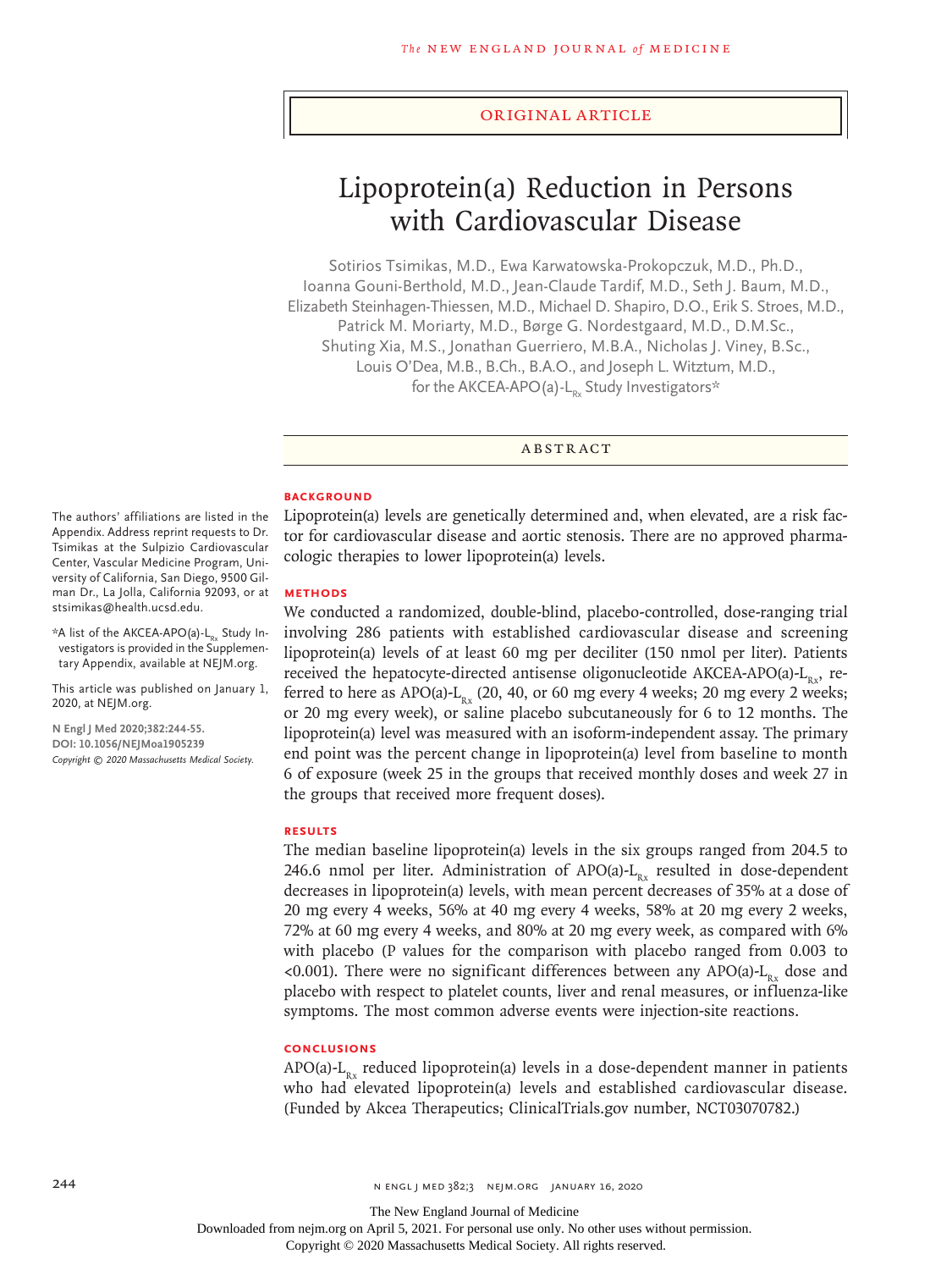#### Original Article

# Lipoprotein(a) Reduction in Persons with Cardiovascular Disease

Sotirios Tsimikas, M.D., Ewa Karwatowska-Prokopczuk, M.D., Ph.D., Ioanna Gouni-Berthold, M.D., Jean-Claude Tardif, M.D., Seth J. Baum, M.D., Elizabeth Steinhagen-Thiessen, M.D., Michael D. Shapiro, D.O., Erik S. Stroes, M.D., Patrick M. Moriarty, M.D., Børge G. Nordestgaard, M.D., D.M.Sc., Shuting Xia, M.S., Jonathan Guerriero, M.B.A., Nicholas J. Viney, B.Sc., Louis O'Dea, M.B., B.Ch., B.A.O., and Joseph L. Witztum, M.D., for the AKCEA-APO(a)-L<sub>py</sub> Study Investigators\*

ABSTRACT

# **BACKGROUND**

Lipoprotein(a) levels are genetically determined and, when elevated, are a risk factor for cardiovascular disease and aortic stenosis. There are no approved pharmacologic therapies to lower lipoprotein(a) levels.

#### **METHODS**

We conducted a randomized, double-blind, placebo-controlled, dose-ranging trial involving 286 patients with established cardiovascular disease and screening lipoprotein(a) levels of at least 60 mg per deciliter (150 nmol per liter). Patients received the hepatocyte-directed antisense oligonucleotide AKCEA-APO(a)- $L_{Rx}$ , referred to here as APO(a)- $L_{Rx}$  (20, 40, or 60 mg every 4 weeks; 20 mg every 2 weeks; or 20 mg every week), or saline placebo subcutaneously for 6 to 12 months. The lipoprotein(a) level was measured with an isoform-independent assay. The primary end point was the percent change in lipoprotein(a) level from baseline to month 6 of exposure (week 25 in the groups that received monthly doses and week 27 in the groups that received more frequent doses).

#### **RESULTS**

The median baseline lipoprotein(a) levels in the six groups ranged from 204.5 to 246.6 nmol per liter. Administration of APO(a)- $L_{Rx}$  resulted in dose-dependent decreases in lipoprotein(a) levels, with mean percent decreases of 35% at a dose of 20 mg every 4 weeks, 56% at 40 mg every 4 weeks, 58% at 20 mg every 2 weeks, 72% at 60 mg every 4 weeks, and 80% at 20 mg every week, as compared with 6% with placebo (P values for the comparison with placebo ranged from 0.003 to <0.001). There were no significant differences between any APO(a)- $L_{n_v}$  dose and placebo with respect to platelet counts, liver and renal measures, or influenza-like symptoms. The most common adverse events were injection-site reactions.

#### **CONCLUSIONS**

APO(a)-L<sub>Rx</sub> reduced lipoprotein(a) levels in a dose-dependent manner in patients who had elevated lipoprotein(a) levels and established cardiovascular disease. (Funded by Akcea Therapeutics; ClinicalTrials.gov number, NCT03070782.)

The authors' affiliations are listed in the Appendix. Address reprint requests to Dr. Tsimikas at the Sulpizio Cardiovascular Center, Vascular Medicine Program, University of California, San Diego, 9500 Gilman Dr., La Jolla, California 92093, or at stsimikas@health.ucsd.edu.

 $*$ A list of the AKCEA-APO(a)-L<sub>Ry</sub> Study Investigators is provided in the Supplementary Appendix, available at NEJM.org.

This article was published on January 1, 2020, at NEJM.org.

**N Engl J Med 2020;382:244-55. DOI: 10.1056/NEJMoa1905239** *Copyright © 2020 Massachusetts Medical Society.*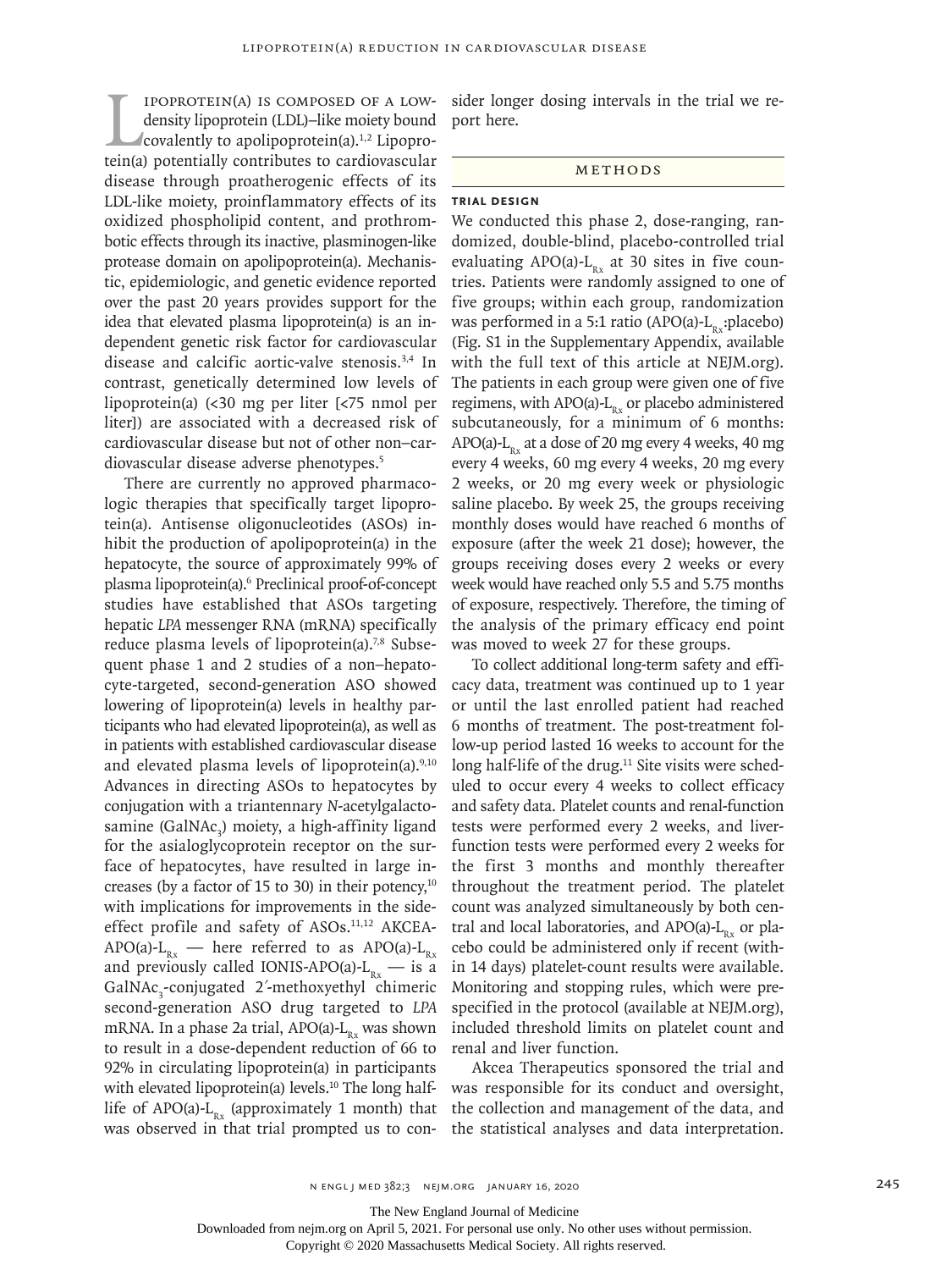I POPROTEIN(A) IS COMPOSED OF A LOW-<br>density lipoprotein (LDL)-like moiety bound<br>covalently to apolipoprotein(a).<sup>1,2</sup> Lipopro-<br>tein(a) potentially contributes to cardiovascular ipoprotein(a) is composed of a lowdensity lipoprotein (LDL)–like moiety bound covalently to apolipoprotein(a).<sup>1,2</sup> Lipoprodisease through proatherogenic effects of its LDL-like moiety, proinflammatory effects of its oxidized phospholipid content, and prothrombotic effects through its inactive, plasminogen-like protease domain on apolipoprotein(a). Mechanistic, epidemiologic, and genetic evidence reported over the past 20 years provides support for the idea that elevated plasma lipoprotein(a) is an independent genetic risk factor for cardiovascular disease and calcific aortic-valve stenosis.3,4 In contrast, genetically determined low levels of lipoprotein(a) (<30 mg per liter [<75 nmol per liter]) are associated with a decreased risk of cardiovascular disease but not of other non–cardiovascular disease adverse phenotypes.5

There are currently no approved pharmacologic therapies that specifically target lipoprotein(a). Antisense oligonucleotides (ASOs) inhibit the production of apolipoprotein(a) in the hepatocyte, the source of approximately 99% of plasma lipoprotein(a).6 Preclinical proof-of-concept studies have established that ASOs targeting hepatic *LPA* messenger RNA (mRNA) specifically reduce plasma levels of lipoprotein(a).<sup>7,8</sup> Subsequent phase 1 and 2 studies of a non–hepatocyte-targeted, second-generation ASO showed lowering of lipoprotein(a) levels in healthy participants who had elevated lipoprotein(a), as well as in patients with established cardiovascular disease and elevated plasma levels of lipoprotein(a). $9,10$ Advances in directing ASOs to hepatocytes by conjugation with a triantennary *N*-acetylgalactosamine (GalNAc<sub>3</sub>) moiety, a high-affinity ligand for the asialoglycoprotein receptor on the surface of hepatocytes, have resulted in large increases (by a factor of 15 to 30) in their potency, $10$ with implications for improvements in the sideeffect profile and safety of ASOs.<sup>11,12</sup> AKCEA-APO(a)- $L_{Rx}$  — here referred to as APO(a)- $L_{Rx}$ and previously called IONIS-APO(a)- $L_{Rx}$  — is a GalNAc<sub>3</sub>-conjugated 2'-methoxyethyl chimeric second-generation ASO drug targeted to *LPA* mRNA. In a phase 2a trial, APO(a)- $L_{Rx}$  was shown to result in a dose-dependent reduction of 66 to 92% in circulating lipoprotein(a) in participants with elevated lipoprotein(a) levels.<sup>10</sup> The long halflife of APO(a)- $L_{Rx}$  (approximately 1 month) that was observed in that trial prompted us to consider longer dosing intervals in the trial we report here.

#### **METHODS**

# **Trial Design**

We conducted this phase 2, dose-ranging, randomized, double-blind, placebo-controlled trial evaluating APO(a)- $L_{Rx}$  at 30 sites in five countries. Patients were randomly assigned to one of five groups; within each group, randomization was performed in a 5:1 ratio (APO(a)- $L_{p}$ :placebo) (Fig. S1 in the Supplementary Appendix, available with the full text of this article at NEJM.org). The patients in each group were given one of five regimens, with APO(a)- $L_{R_x}$  or placebo administered subcutaneously, for a minimum of 6 months: APO(a)- $L_{Rx}$  at a dose of 20 mg every 4 weeks, 40 mg every 4 weeks, 60 mg every 4 weeks, 20 mg every 2 weeks, or 20 mg every week or physiologic saline placebo. By week 25, the groups receiving monthly doses would have reached 6 months of exposure (after the week 21 dose); however, the groups receiving doses every 2 weeks or every week would have reached only 5.5 and 5.75 months of exposure, respectively. Therefore, the timing of the analysis of the primary efficacy end point was moved to week 27 for these groups.

To collect additional long-term safety and efficacy data, treatment was continued up to 1 year or until the last enrolled patient had reached 6 months of treatment. The post-treatment follow-up period lasted 16 weeks to account for the long half-life of the drug.<sup>11</sup> Site visits were scheduled to occur every 4 weeks to collect efficacy and safety data. Platelet counts and renal-function tests were performed every 2 weeks, and liverfunction tests were performed every 2 weeks for the first 3 months and monthly thereafter throughout the treatment period. The platelet count was analyzed simultaneously by both central and local laboratories, and APO(a)- $L_{p}$  or placebo could be administered only if recent (within 14 days) platelet-count results were available. Monitoring and stopping rules, which were prespecified in the protocol (available at NEJM.org), included threshold limits on platelet count and renal and liver function.

Akcea Therapeutics sponsored the trial and was responsible for its conduct and oversight, the collection and management of the data, and the statistical analyses and data interpretation.

The New England Journal of Medicine

Downloaded from nejm.org on April 5, 2021. For personal use only. No other uses without permission.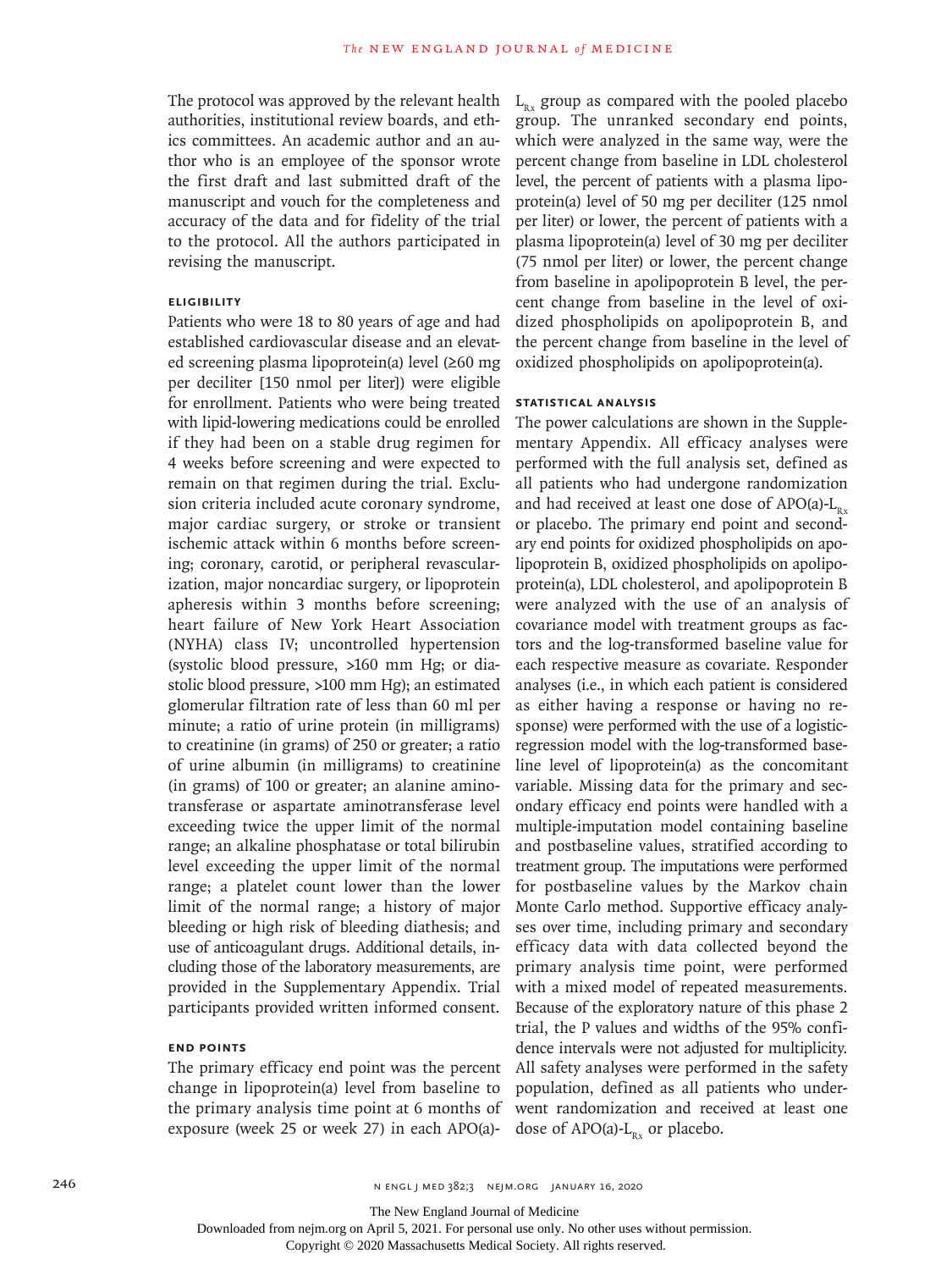The protocol was approved by the relevant health authorities, institutional review boards, and ethics committees. An academic author and an author who is an employee of the sponsor wrote the first draft and last submitted draft of the manuscript and vouch for the completeness and accuracy of the data and for fidelity of the trial to the protocol. All the authors participated in revising the manuscript.

# **Eligibility**

Patients who were 18 to 80 years of age and had established cardiovascular disease and an elevated screening plasma lipoprotein(a) level (≥60 mg per deciliter [150 nmol per liter]) were eligible for enrollment. Patients who were being treated with lipid-lowering medications could be enrolled if they had been on a stable drug regimen for 4 weeks before screening and were expected to remain on that regimen during the trial. Exclusion criteria included acute coronary syndrome, major cardiac surgery, or stroke or transient ischemic attack within 6 months before screening; coronary, carotid, or peripheral revascularization, major noncardiac surgery, or lipoprotein apheresis within 3 months before screening; heart failure of New York Heart Association (NYHA) class IV; uncontrolled hypertension (systolic blood pressure, >160 mm Hg; or diastolic blood pressure, >100 mm Hg); an estimated glomerular filtration rate of less than 60 ml per minute; a ratio of urine protein (in milligrams) to creatinine (in grams) of 250 or greater; a ratio of urine albumin (in milligrams) to creatinine (in grams) of 100 or greater; an alanine aminotransferase or aspartate aminotransferase level exceeding twice the upper limit of the normal range; an alkaline phosphatase or total bilirubin level exceeding the upper limit of the normal range; a platelet count lower than the lower limit of the normal range; a history of major bleeding or high risk of bleeding diathesis; and use of anticoagulant drugs. Additional details, including those of the laboratory measurements, are provided in the Supplementary Appendix. Trial participants provided written informed consent.

# **End Points**

The primary efficacy end point was the percent change in lipoprotein(a) level from baseline to the primary analysis time point at 6 months of exposure (week 25 or week 27) in each APO(a)-

 $L_{p_{x}}$  group as compared with the pooled placebo group. The unranked secondary end points, which were analyzed in the same way, were the percent change from baseline in LDL cholesterol level, the percent of patients with a plasma lipoprotein(a) level of 50 mg per deciliter (125 nmol per liter) or lower, the percent of patients with a plasma lipoprotein(a) level of 30 mg per deciliter (75 nmol per liter) or lower, the percent change from baseline in apolipoprotein B level, the percent change from baseline in the level of oxidized phospholipids on apolipoprotein B, and the percent change from baseline in the level of oxidized phospholipids on apolipoprotein(a).

# **Statistical Analysis**

The power calculations are shown in the Supplementary Appendix. All efficacy analyses were performed with the full analysis set, defined as all patients who had undergone randomization and had received at least one dose of  $APO(a)-L_{n}$ . or placebo. The primary end point and secondary end points for oxidized phospholipids on apolipoprotein B, oxidized phospholipids on apolipoprotein(a), LDL cholesterol, and apolipoprotein B were analyzed with the use of an analysis of covariance model with treatment groups as factors and the log-transformed baseline value for each respective measure as covariate. Responder analyses (i.e., in which each patient is considered as either having a response or having no response) were performed with the use of a logisticregression model with the log-transformed baseline level of lipoprotein(a) as the concomitant variable. Missing data for the primary and secondary efficacy end points were handled with a multiple-imputation model containing baseline and postbaseline values, stratified according to treatment group. The imputations were performed for postbaseline values by the Markov chain Monte Carlo method. Supportive efficacy analyses over time, including primary and secondary efficacy data with data collected beyond the primary analysis time point, were performed with a mixed model of repeated measurements. Because of the exploratory nature of this phase 2 trial, the P values and widths of the 95% confidence intervals were not adjusted for multiplicity. All safety analyses were performed in the safety population, defined as all patients who underwent randomization and received at least one dose of APO(a)- $L_{Rx}$  or placebo.

246 **1.2.2.2 n** engl j med 382;3 nejm.org January 16, 2020

The New England Journal of Medicine

Downloaded from nejm.org on April 5, 2021. For personal use only. No other uses without permission.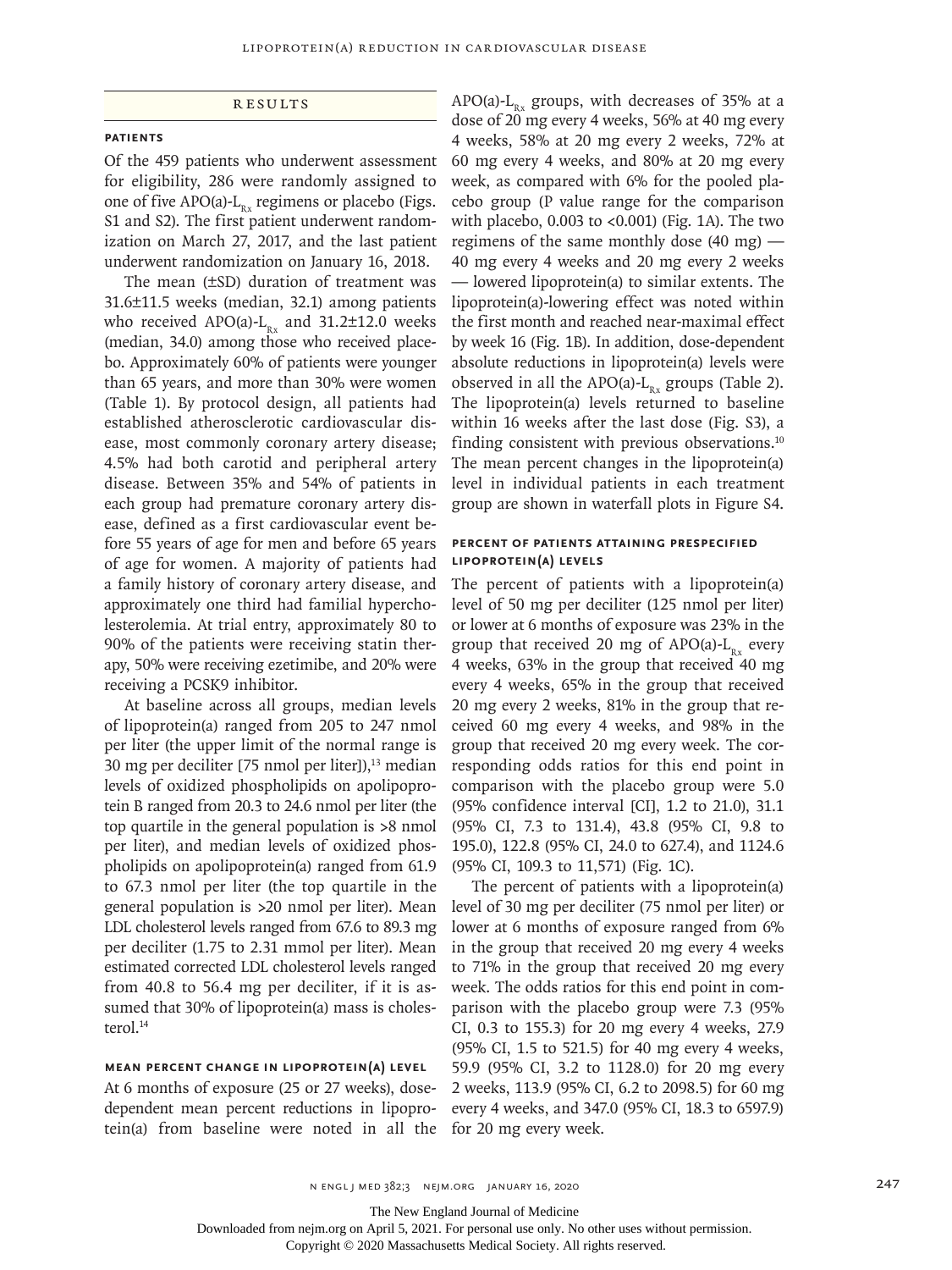## **RESULTS**

#### **Patients**

Of the 459 patients who underwent assessment for eligibility, 286 were randomly assigned to one of five APO(a)- $L_{R_x}$  regimens or placebo (Figs. S1 and S2). The first patient underwent randomization on March 27, 2017, and the last patient underwent randomization on January 16, 2018.

The mean (±SD) duration of treatment was 31.6±11.5 weeks (median, 32.1) among patients who received APO(a)- $L_{R_x}$  and 31.2±12.0 weeks (median, 34.0) among those who received placebo. Approximately 60% of patients were younger than 65 years, and more than 30% were women (Table 1). By protocol design, all patients had established atherosclerotic cardiovascular disease, most commonly coronary artery disease; 4.5% had both carotid and peripheral artery disease. Between 35% and 54% of patients in each group had premature coronary artery disease, defined as a first cardiovascular event before 55 years of age for men and before 65 years of age for women. A majority of patients had a family history of coronary artery disease, and approximately one third had familial hypercholesterolemia. At trial entry, approximately 80 to 90% of the patients were receiving statin therapy, 50% were receiving ezetimibe, and 20% were receiving a PCSK9 inhibitor.

At baseline across all groups, median levels of lipoprotein(a) ranged from 205 to 247 nmol per liter (the upper limit of the normal range is 30 mg per deciliter [75 nmol per liter]), $<sup>13</sup>$  median</sup> levels of oxidized phospholipids on apolipoprotein B ranged from 20.3 to 24.6 nmol per liter (the top quartile in the general population is >8 nmol per liter), and median levels of oxidized phospholipids on apolipoprotein(a) ranged from 61.9 to 67.3 nmol per liter (the top quartile in the general population is >20 nmol per liter). Mean LDL cholesterol levels ranged from 67.6 to 89.3 mg per deciliter (1.75 to 2.31 mmol per liter). Mean estimated corrected LDL cholesterol levels ranged from 40.8 to 56.4 mg per deciliter, if it is assumed that 30% of lipoprotein(a) mass is cholesterol.<sup>14</sup>

# **Mean Percent Change in Lipoprotein(a) Level**

At 6 months of exposure (25 or 27 weeks), dosedependent mean percent reductions in lipoprotein(a) from baseline were noted in all the APO(a)- $L_{R_x}$  groups, with decreases of 35% at a dose of 20 mg every 4 weeks, 56% at 40 mg every 4 weeks, 58% at 20 mg every 2 weeks, 72% at 60 mg every 4 weeks, and 80% at 20 mg every week, as compared with 6% for the pooled placebo group (P value range for the comparison with placebo, 0.003 to <0.001) (Fig. 1A). The two regimens of the same monthly dose (40 mg) — 40 mg every 4 weeks and 20 mg every 2 weeks — lowered lipoprotein(a) to similar extents. The lipoprotein(a)-lowering effect was noted within the first month and reached near-maximal effect by week 16 (Fig. 1B). In addition, dose-dependent absolute reductions in lipoprotein(a) levels were observed in all the APO(a)- $L_{R_x}$  groups (Table 2). The lipoprotein(a) levels returned to baseline within 16 weeks after the last dose (Fig. S3), a finding consistent with previous observations.10 The mean percent changes in the lipoprotein(a) level in individual patients in each treatment group are shown in waterfall plots in Figure S4.

# **Percent of Patients Attaining Prespecified Lipoprotein(a) Levels**

The percent of patients with a lipoprotein(a) level of 50 mg per deciliter (125 nmol per liter) or lower at 6 months of exposure was 23% in the group that received 20 mg of APO(a)- $L_{Rx}$  every 4 weeks, 63% in the group that received 40 mg every 4 weeks, 65% in the group that received 20 mg every 2 weeks, 81% in the group that received 60 mg every 4 weeks, and 98% in the group that received 20 mg every week. The corresponding odds ratios for this end point in comparison with the placebo group were 5.0 (95% confidence interval [CI], 1.2 to 21.0), 31.1 (95% CI, 7.3 to 131.4), 43.8 (95% CI, 9.8 to 195.0), 122.8 (95% CI, 24.0 to 627.4), and 1124.6 (95% CI, 109.3 to 11,571) (Fig. 1C).

The percent of patients with a lipoprotein(a) level of 30 mg per deciliter (75 nmol per liter) or lower at 6 months of exposure ranged from 6% in the group that received 20 mg every 4 weeks to 71% in the group that received 20 mg every week. The odds ratios for this end point in comparison with the placebo group were 7.3 (95% CI, 0.3 to 155.3) for 20 mg every 4 weeks, 27.9 (95% CI, 1.5 to 521.5) for 40 mg every 4 weeks, 59.9 (95% CI, 3.2 to 1128.0) for 20 mg every 2 weeks, 113.9 (95% CI, 6.2 to 2098.5) for 60 mg every 4 weeks, and 347.0 (95% CI, 18.3 to 6597.9) for 20 mg every week.

n engl j med 382;3 nejm.org January 16, 2020 247

The New England Journal of Medicine

Downloaded from nejm.org on April 5, 2021. For personal use only. No other uses without permission.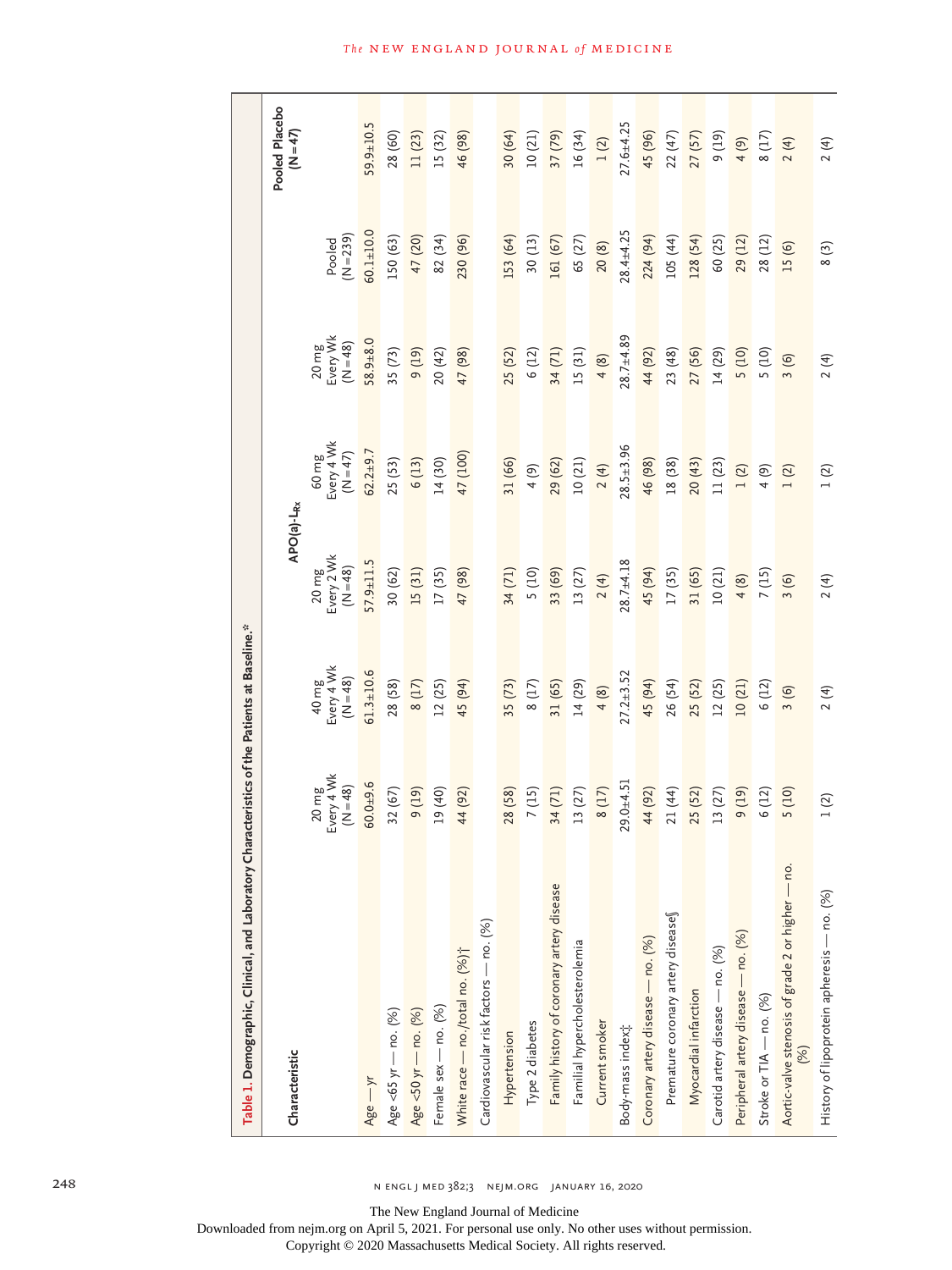| Table 1. Demographic, Clinical, and Laboratory Characteristics of the Patients at Baseline.* |                                 |                                   |                                 |                                   |                                             |                       |                        |
|----------------------------------------------------------------------------------------------|---------------------------------|-----------------------------------|---------------------------------|-----------------------------------|---------------------------------------------|-----------------------|------------------------|
| Characteristic                                                                               |                                 |                                   | APO(a)-L <sub>Rx</sub>          |                                   |                                             |                       | Pooled Placebo<br>(47) |
|                                                                                              | 20 mg<br>Every 4 Wk<br>$(N=48)$ | 40 mg<br>Every 4 Wk<br>$(N = 48)$ | 20 mg<br>Every 2 Wk<br>$(N=48)$ | 60 mg<br>Every 4 Wk<br>$(N = 47)$ | Every Wk<br>$(N = 48)$<br>$20 \, \text{mg}$ | $(N = 239)$<br>Pooled |                        |
| $Age - yr$                                                                                   | $60.0 + 9.6$                    | $61.3 + 10.6$                     | $57.9 + 11.5$                   | $62.2 + 9.7$                      | $58.9 + 8.0$                                | $60.1 + 10.0$         | $59.9 \pm 10.5$        |
| Age <65 yr — no. $(%)$                                                                       | 32 (67)                         | 28 (58)                           | 30 (62)                         | 25(53)                            | 35 (73)                                     | 150 (63)              | 28 (60)                |
| Age <50 yr - no. (%)                                                                         | $(61)$ $6$                      | $8(17)$                           | 15 (31)                         | 6(13)                             | (61)                                        | 47 (20)               | 11(23)                 |
| Female sex - no. (%)                                                                         | 19 (40)                         | 12(25)                            | 17 (35)                         | 14(30)                            | 20 (42)                                     | 82 (34)               | 15 (32)                |
| White race - no./total no. (%);                                                              | 44 (92)                         | 45 (94)                           | 47 (98)                         | 47 (100)                          | 47 (98)                                     | 230 (96)              | 46 (98)                |
| Cardiovascular risk factors - no. (%)                                                        |                                 |                                   |                                 |                                   |                                             |                       |                        |
| Hypertension                                                                                 | 28 (58)                         | 35 (73)                           | 34 (71)                         | 31 (66)                           | 25 (52)                                     | 153 (64)              | 30 (64)                |
| Type 2 diabetes                                                                              | 7(15)                           | 8(17)                             | 5(10)                           | (6)                               | 6 (12)                                      | 30(13)                | 10(21)                 |
| Family history of coronary artery disease                                                    | 34 (71)                         | 31 (65)                           | 33 (69)                         | 29 (62)                           | 34 (71)                                     | 161 (67)              | 37 (79)                |
| Familial hypercholesterolemia                                                                | 13(27)                          | 14 (29)                           | 13(27)                          | 10(21)                            | 15 (31)                                     | 65 (27)               | 16 (34)                |
| Current smoker                                                                               | $8(17)$                         | 4(8)                              | 2(4)                            | 2(4)                              | 4(8)                                        | 20(8)                 | 1(2)                   |
| Body-mass index;                                                                             | $29.0 + 4.5$ ]                  | $27.2 + 3.52$                     | $28.7 + 4.18$                   | $28.5 \pm 3.96$                   | $28.7 + 4.89$                               | $28.4 + 4.25$         | $27.6 + 4.25$          |
| Coronary artery disease - no. (%)                                                            | 44 (92)                         | 45 (94)                           | 45 (94)                         | 46 (98)                           | 44 (92)                                     | 224 (94)              | 45 (96)                |
| Premature coronary artery diseases                                                           | 21 (44)                         | 26 (54)                           | 17(35)                          | 18 (38)                           | 23(48)                                      | 105 (44)              | 22 (47)                |
| Myocardial infarction                                                                        | 25 (52)                         | 25 (52)                           | 31 (65)                         | 20(43)                            | 27 (56)                                     | 128 (54)              | 27 (57)                |
| Carotid artery disease - no. (%)                                                             | 13 (27)                         | 12(25)                            | 10(21)                          | 11 (23)                           | 14 (29)                                     | 60 (25)               | $(61)$ $6$             |
| Peripheral artery disease — no. (%)                                                          | $(61)$ $6$                      | 10(21)                            | 4(8)                            | $1\ (2)$                          | 5(10)                                       | 29 (12)               | $(6)$ $\pm$            |
| Stroke or TIA - no. (%)                                                                      | 6(12)                           | 6(12)                             | 7(15)                           | (6)                               | 5(10)                                       | 28 (12)               | 8(17)                  |
| Aortic-valve stenosis of grade 2 or higher - no.<br>(%)                                      | 5(10)                           | 3(6)                              | 3(6)                            | $1\ (2)$                          | 3(6)                                        | 15 (6)                | 2(4)                   |
| History of lipoprotein apheresis - no. (%)                                                   | $1(2)$                          | 2(4)                              | 2(4)                            | $1(2)$                            | 2(4)                                        | 8(3)                  | 2(4)                   |

248 n engl j med 382;3 nejm.org January 16, 2020

The New England Journal of Medicine

Downloaded from nejm.org on April 5, 2021. For personal use only. No other uses without permission.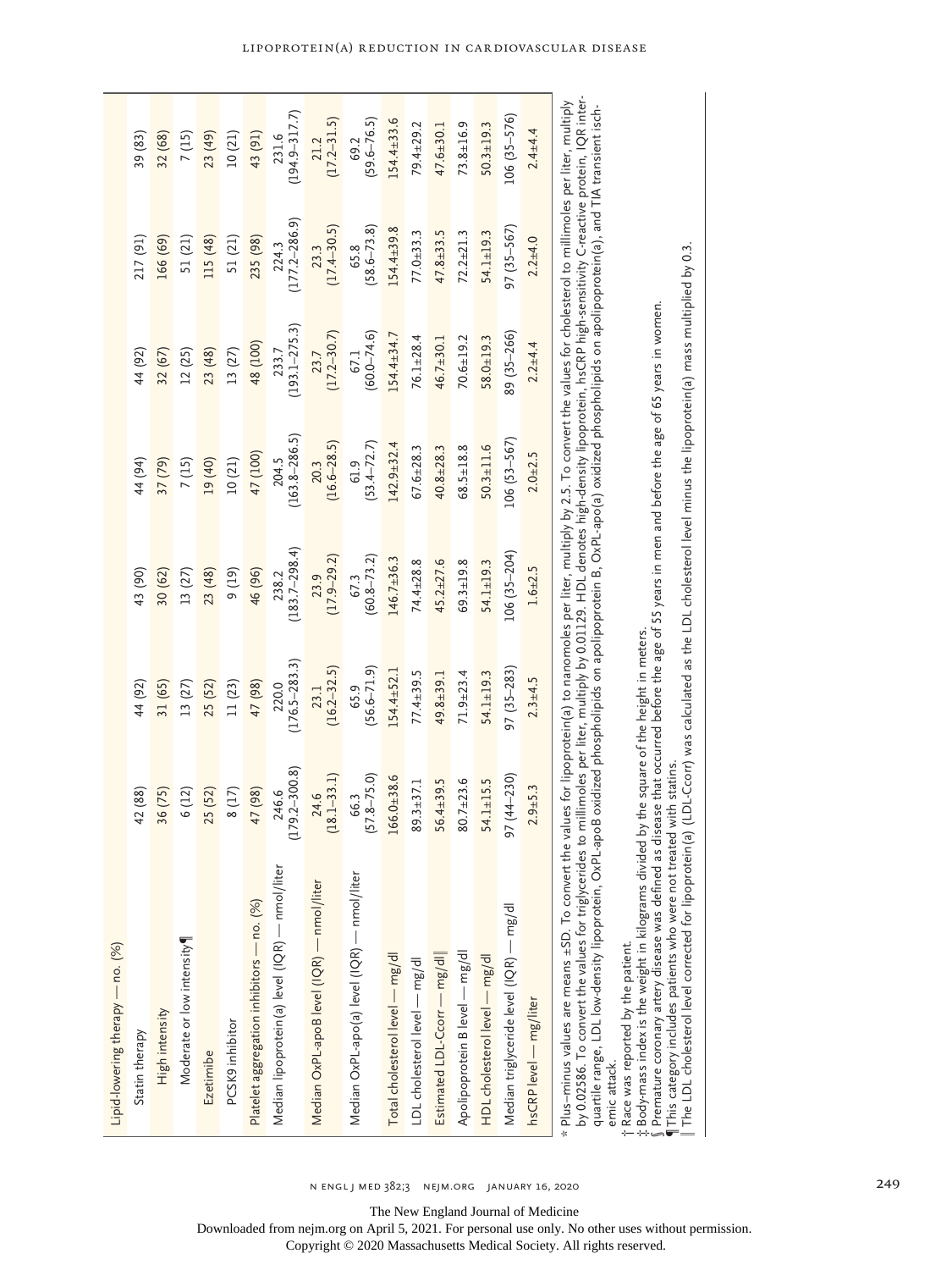| Lipid-lowering therapy — no. (%)                                                                                                                                                                                                                                                                                                                                                                                                                                 |                          |                            |                                                                                                                                              |                            |                            |                            |                            |
|------------------------------------------------------------------------------------------------------------------------------------------------------------------------------------------------------------------------------------------------------------------------------------------------------------------------------------------------------------------------------------------------------------------------------------------------------------------|--------------------------|----------------------------|----------------------------------------------------------------------------------------------------------------------------------------------|----------------------------|----------------------------|----------------------------|----------------------------|
| Statin therapy                                                                                                                                                                                                                                                                                                                                                                                                                                                   | 42 (88)                  | 44 (92)                    | 43 (90)                                                                                                                                      | 44 (94)                    | 44 (92)                    | 217 (91)                   | 39 (83)                    |
| High intensity                                                                                                                                                                                                                                                                                                                                                                                                                                                   | 36 (75)                  | 31 (65)                    | 30 (62)                                                                                                                                      | 37 (79)                    | 32 (67)                    | 166 (69)                   | 32 (68)                    |
| Moderate or low intensity                                                                                                                                                                                                                                                                                                                                                                                                                                        | 6 (12)                   | 13(27)                     | 13 (27)                                                                                                                                      | 7(15)                      | 12(25)                     | 51 (21)                    | 7(15)                      |
| Ezetimibe                                                                                                                                                                                                                                                                                                                                                                                                                                                        | 25 (52)                  | 25 (52)                    | 23 (48)                                                                                                                                      | 19 (40)                    | 23 (48)                    | 115 (48)                   | 23 (49)                    |
| PCSK9 inhibitor                                                                                                                                                                                                                                                                                                                                                                                                                                                  | 8(17)                    | 11(23)                     | (19)                                                                                                                                         | 10(21)                     | 13(27)                     | 51 (21)                    | 10(21)                     |
| Platelet aggregation inhibitors — no. (%)                                                                                                                                                                                                                                                                                                                                                                                                                        | 47 (98)                  | 47 (98)                    | 46 (96)                                                                                                                                      | 47 (100)                   | 48 (100)                   | 235 (98)                   | 43 (91)                    |
| Median lipoprotein(a) level (IQR) — nmol/liter                                                                                                                                                                                                                                                                                                                                                                                                                   | $179.2 - 300.8$<br>246.6 | $(176.5 - 283.3)$<br>220.0 | $(183.7 - 298.4)$<br>238.2                                                                                                                   | $(163.8 - 286.5)$<br>204.5 | $(193.1 - 275.3)$<br>233.7 | $(177.2 - 286.9)$<br>224.3 | $(194.9 - 317.7)$<br>231.6 |
| Median OxPL-apoB level (IQR) — nmol/liter                                                                                                                                                                                                                                                                                                                                                                                                                        | $(18.1 - 33.1)$<br>24.6  | $(16.2 - 32.5)$<br>23.1    | $(17.9 - 29.2)$<br>23.9                                                                                                                      | $(16.6 - 28.5)$<br>20.3    | $(17.2 - 30.7)$<br>23.7    | $(17.4 - 30.5)$<br>23.3    | $(17.2 - 31.5)$<br>21.2    |
| Median OxPL-apo(a) level (IQR) — nmol/liter                                                                                                                                                                                                                                                                                                                                                                                                                      | $(57.8 - 75.0)$<br>66.3  | $(56.6 - 71.9)$<br>65.9    | $(60.8 - 73.2)$<br>67.3                                                                                                                      | $(53.4 - 72.7)$<br>61.9    | $(60.0 - 74.6)$<br>67.1    | $(58.6 - 73.8)$<br>65.8    | $(59.6 - 76.5)$<br>69.2    |
| Total cholesterol level - mg/dl                                                                                                                                                                                                                                                                                                                                                                                                                                  | $166.0 + 38.6$           | $154.4 \pm 52.1$           | $146.7 + 36.3$                                                                                                                               | $142.9 + 32.4$             | $154.4 + 34.7$             | $154.4 \pm 39.8$           | $154.4 \pm 33.6$           |
| LDL cholesterol level - mg/dl                                                                                                                                                                                                                                                                                                                                                                                                                                    | $89.3 + 37.1$            | $77.4 + 39.5$              | 74.4±28.8                                                                                                                                    | $67.6 \pm 28.3$            | $76.1 + 28.4$              | $77.0 + 33.3$              | 79.4±29.2                  |
| Estimated LDL-Ccorr — mg/dl                                                                                                                                                                                                                                                                                                                                                                                                                                      | 56.4±39.5                | $49.8 + 39.1$              | $45.2 \pm 27.6$                                                                                                                              | $40.8 + 28.3$              | $46.7 \pm 30.1$            | $47.8 + 33.5$              | $47.6 \pm 30.1$            |
| Apolipoprotein B level - mg/dl                                                                                                                                                                                                                                                                                                                                                                                                                                   | $80.7 \pm 23.6$          | $71.9 \pm 23.4$            | 69.3±19.8                                                                                                                                    | $68.5 \pm 18.8$            | $70.6 + 19.2$              | $72.2 \pm 21.3$            | $73.8 \pm 16.9$            |
| HDL cholesterol level - mg/dl                                                                                                                                                                                                                                                                                                                                                                                                                                    | $54.1 \pm 15.5$          | $54.1 \pm 19.3$            | 54.1±19.3                                                                                                                                    | $50.3 + 11.6$              | $58.0 + 19.3$              | 54.1±19.3                  | $50.3 \pm 19.3$            |
| Median triglyceride level (IQR) — mg/dl                                                                                                                                                                                                                                                                                                                                                                                                                          | $97(44 - 230)$           | $97(35 - 283)$             | $106(35 - 204)$                                                                                                                              | $106(53 - 567)$            | 89 (35-266)                | 97 (35-567)                | $106(35 - 576)$            |
| hsCRP level - mg/liter                                                                                                                                                                                                                                                                                                                                                                                                                                           | $2.9 + 5.3$              | $2.3 + 4.5$                | $1.6 + 2.5$                                                                                                                                  | $2.0 + 2.5$                | $2.2 + 4.4$                | $2.2 + 4.0$                | $2.4 + 4.4$                |
| by 0.02586. To convert the values for triglycerides to millimoles per liter, multiply by 0.01129. HDL denotes high-density lipoprotein, hsCRP high-sensitivity C-reactive protein, IQR inter-<br>quartile range, LDL low-density lipoprotein, OxPL-apoB oxidized phospholipids on apolipoprotein B, OxPL-apo(a) oxidized phospholipids on apolipoprotein(a), and TIA transient isch-<br>$*$ Plus-minus values are means $\pm$ SD. To convert th<br>$\frac{1}{2}$ |                          |                            | e values for lipoprotein(a) to nanomoles per liter, multiply by 2.5. To convert the values for cholesterol to millimoles per liter, multiply |                            |                            |                            |                            |

emic attack. emic attack.

l,

Race was reported by the patient.

Body-mass index is the weight in kilograms divided by the square of the height in meters.

†‡§Premature coronary artery disease was defined as disease that occurred before the age of 55 years in men and before the age of 65 years in women.

¶This category includes patients who were not treated with statins. The LDL cholesterol level corrected for lipoprotein(a) (LDL-Ccorr) was calculated as the LDL cholesterol level minus the lipoprotein(a) mass multiplied by 0.3.

The New England Journal of Medicine

Downloaded from nejm.org on April 5, 2021. For personal use only. No other uses without permission.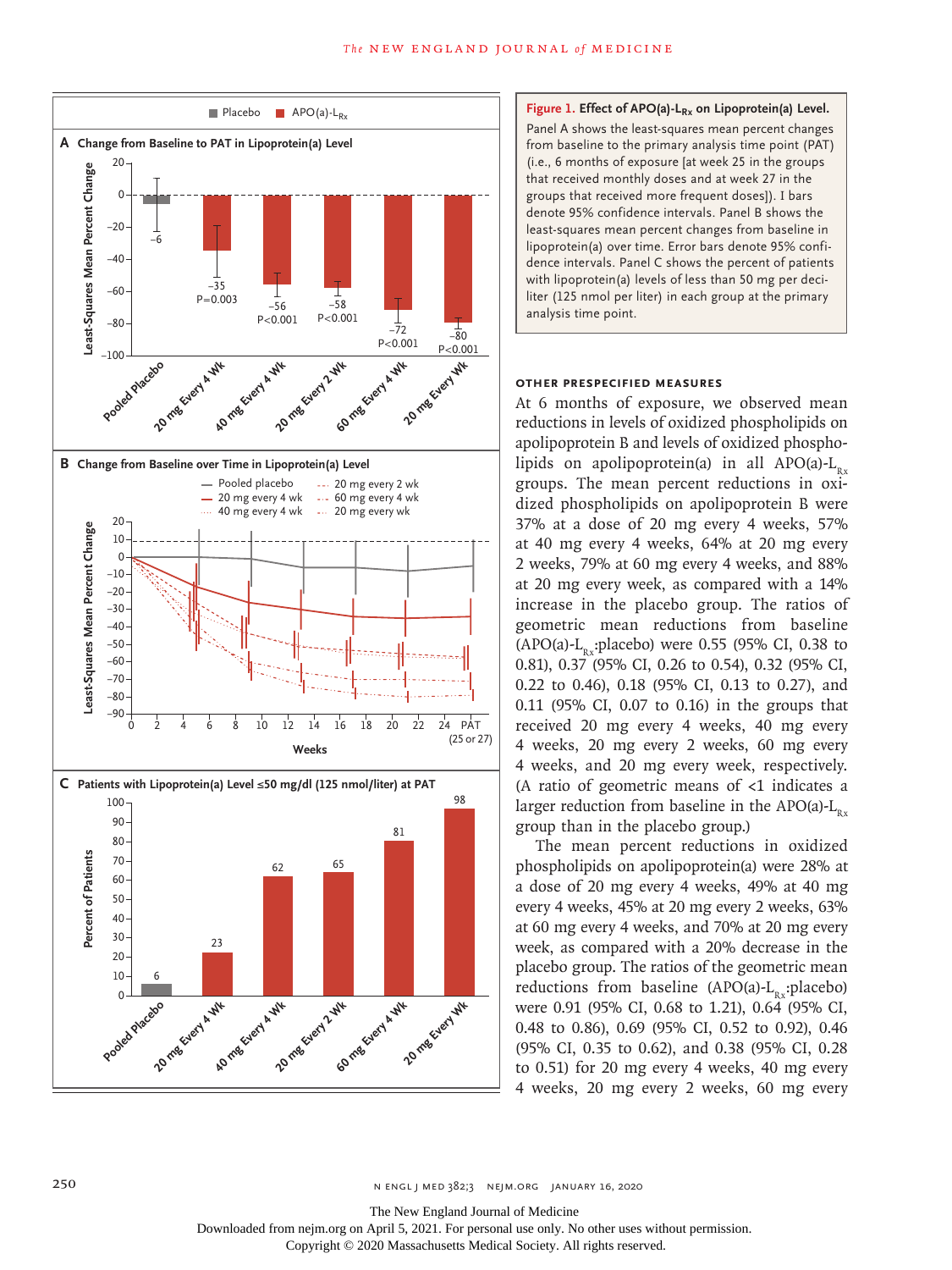



### **Other Prespecified Measures**

At 6 months of exposure, we observed mean reductions in levels of oxidized phospholipids on apolipoprotein B and levels of oxidized phospholipids on apolipoprotein(a) in all APO(a)- $L_{p}$ . groups. The mean percent reductions in oxidized phospholipids on apolipoprotein B were 37% at a dose of 20 mg every 4 weeks, 57% at 40 mg every 4 weeks, 64% at 20 mg every 2 weeks, 79% at 60 mg every 4 weeks, and 88% at 20 mg every week, as compared with a 14% increase in the placebo group. The ratios of geometric mean reductions from baseline  $(APO(a)-L_n$ :placebo) were 0.55 (95% CI, 0.38 to 0.81), 0.37 (95% CI, 0.26 to 0.54), 0.32 (95% CI, 0.22 to 0.46), 0.18 (95% CI, 0.13 to 0.27), and 0.11 (95% CI, 0.07 to 0.16) in the groups that received 20 mg every 4 weeks, 40 mg every 4 weeks, 20 mg every 2 weeks, 60 mg every 4 weeks, and 20 mg every week, respectively. (A ratio of geometric means of  $\lt 1$  indicates a larger reduction from baseline in the APO(a)- $L_{Rx}$ group than in the placebo group.)

The mean percent reductions in oxidized phospholipids on apolipoprotein(a) were 28% at a dose of 20 mg every 4 weeks, 49% at 40 mg every 4 weeks, 45% at 20 mg every 2 weeks, 63% at 60 mg every 4 weeks, and 70% at 20 mg every week, as compared with a 20% decrease in the placebo group. The ratios of the geometric mean reductions from baseline  $(APO(a)-L_{n}$ :placebo) were 0.91 (95% CI, 0.68 to 1.21), 0.64 (95% CI, 0.48 to 0.86), 0.69 (95% CI, 0.52 to 0.92), 0.46 (95% CI, 0.35 to 0.62), and 0.38 (95% CI, 0.28 to 0.51) for 20 mg every 4 weeks, 40 mg every 4 weeks, 20 mg every 2 weeks, 60 mg every

The New England Journal of Medicine

Downloaded from nejm.org on April 5, 2021. For personal use only. No other uses without permission.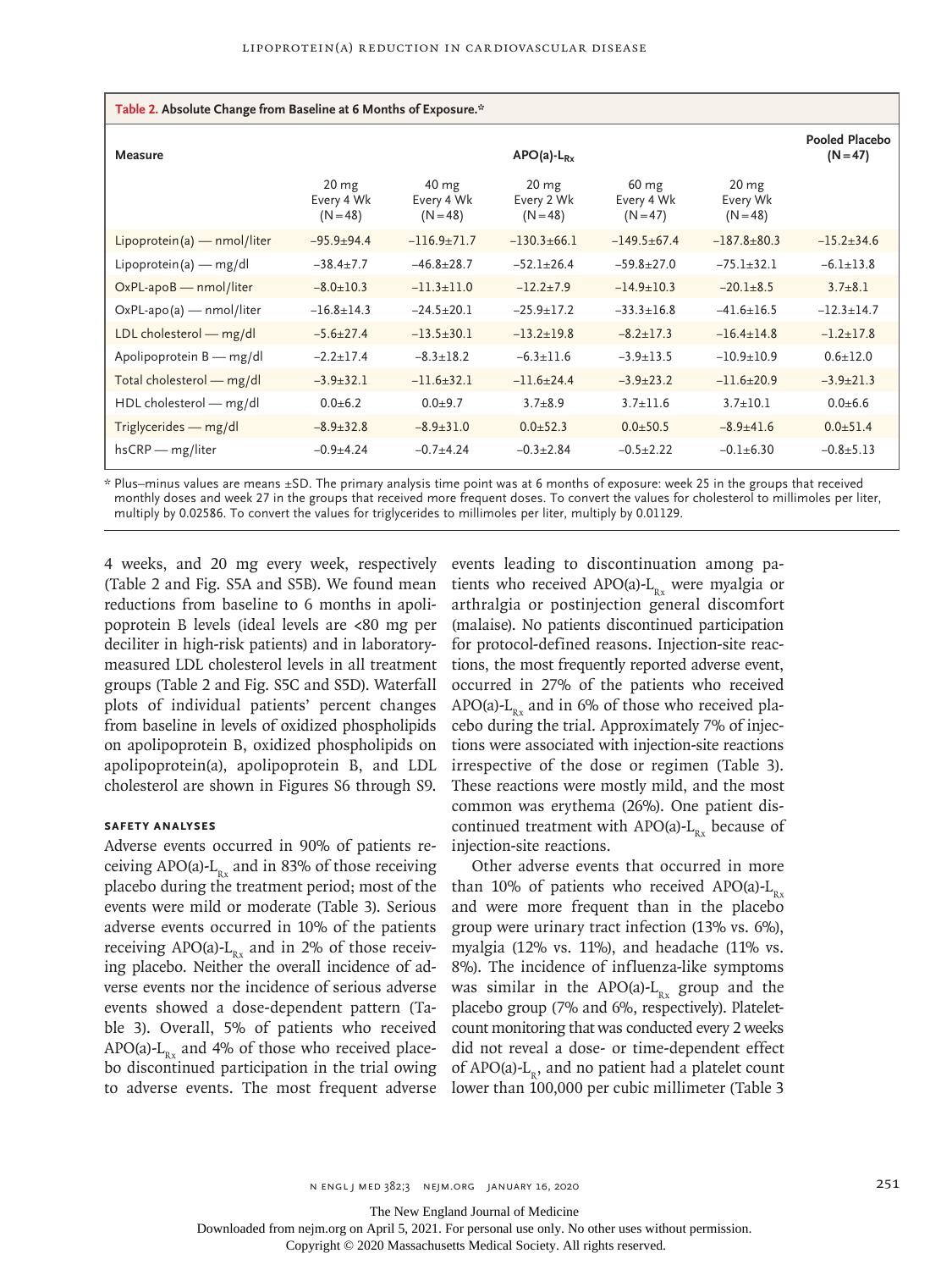| Table 2. Absolute Change from Baseline at 6 Months of Exposure.* |                                        |                                             |                                              |                                             |                                            |                              |
|------------------------------------------------------------------|----------------------------------------|---------------------------------------------|----------------------------------------------|---------------------------------------------|--------------------------------------------|------------------------------|
| Measure                                                          |                                        |                                             | $APO(a)-L_{Rx}$                              |                                             |                                            | Pooled Placebo<br>$(N = 47)$ |
|                                                                  | $20 \, mg$<br>Every 4 Wk<br>$(N = 48)$ | $40 \text{ mg}$<br>Every 4 Wk<br>$(N = 48)$ | 20 <sub>mg</sub><br>Every 2 Wk<br>$(N = 48)$ | $60 \text{ mg}$<br>Every 4 Wk<br>$(N = 47)$ | 20 <sub>mg</sub><br>Every Wk<br>$(N = 48)$ |                              |
| $Lipoprotein(a)$ – nmol/liter                                    | $-95.9+94.4$                           | $-116.9+71.7$                               | $-130.3+66.1$                                | $-149.5+67.4$                               | $-187.8+80.3$                              | $-15.2 \pm 34.6$             |
| Lipoprotein(a) — mg/dl                                           | $-38.4 \pm 7.7$                        | $-46.8 \pm 28.7$                            | $-52.1 \pm 26.4$                             | $-59.8+27.0$                                | $-75.1 \pm 32.1$                           | $-6.1 \pm 13.8$              |
| $OxPL$ -apo $B$ - nmol/liter                                     | $-8.0 \pm 10.3$                        | $-11.3 \pm 11.0$                            | $-12.2+7.9$                                  | $-14.9 \pm 10.3$                            | $-20.1 \pm 8.5$                            | $3.7 \pm 8.1$                |
| $OxPL$ -apo(a) — nmol/liter                                      | $-16.8 \pm 14.3$                       | $-24.5+20.1$                                | $-25.9 \pm 17.2$                             | $-33.3 \pm 16.8$                            | $-41.6 \pm 16.5$                           | $-12.3 + 14.7$               |
| LDL cholesterol - mg/dl                                          | $-5.6 \pm 27.4$                        | $-13.5 \pm 30.1$                            | $-13.2 \pm 19.8$                             | $-8.2 \pm 17.3$                             | $-16.4 \pm 14.8$                           | $-1.2 \pm 17.8$              |
| Apolipoprotein B - mg/dl                                         | $-2.2 \pm 17.4$                        | $-8.3 \pm 18.2$                             | $-6.3 \pm 11.6$                              | $-3.9 \pm 13.5$                             | $-10.9 + 10.9$                             | $0.6 \pm 12.0$               |
| Total cholesterol - mg/dl                                        | $-3.9 \pm 32.1$                        | $-11.6+32.1$                                | $-11.6+24.4$                                 | $-3.9 \pm 23.2$                             | $-11.6+20.9$                               | $-3.9 \pm 21.3$              |
| HDL cholesterol - mg/dl                                          | $0.0 + 6.2$                            | $0.0 + 9.7$                                 | $3.7 + 8.9$                                  | $3.7 \pm 11.6$                              | $3.7 + 10.1$                               | $0.0 + 6.6$                  |
| Triglycerides - mg/dl                                            | $-8.9 \pm 32.8$                        | $-8.9 \pm 31.0$                             | $0.0 + 52.3$                                 | $0.0 + 50.5$                                | $-8.9 + 41.6$                              | $0.0 + 51.4$                 |
| $hsCRP$ - mg/liter                                               | $-0.9 + 4.24$                          | $-0.7+4.24$                                 | $-0.3 + 2.84$                                | $-0.5 \pm 2.22$                             | $-0.1 + 6.30$                              | $-0.8 + 5.13$                |

\* Plus–minus values are means ±SD. The primary analysis time point was at 6 months of exposure: week 25 in the groups that received monthly doses and week 27 in the groups that received more frequent doses. To convert the values for cholesterol to millimoles per liter, multiply by 0.02586. To convert the values for triglycerides to millimoles per liter, multiply by 0.01129.

4 weeks, and 20 mg every week, respectively (Table 2 and Fig. S5A and S5B). We found mean reductions from baseline to 6 months in apolipoprotein B levels (ideal levels are <80 mg per deciliter in high-risk patients) and in laboratorymeasured LDL cholesterol levels in all treatment groups (Table 2 and Fig. S5C and S5D). Waterfall plots of individual patients' percent changes from baseline in levels of oxidized phospholipids on apolipoprotein B, oxidized phospholipids on apolipoprotein(a), apolipoprotein B, and LDL cholesterol are shown in Figures S6 through S9.

#### **Safety Analyses**

Adverse events occurred in 90% of patients receiving APO(a)- $L_{R_x}$  and in 83% of those receiving placebo during the treatment period; most of the events were mild or moderate (Table 3). Serious adverse events occurred in 10% of the patients receiving APO(a)- $L_{Rx}$  and in 2% of those receiving placebo. Neither the overall incidence of adverse events nor the incidence of serious adverse events showed a dose-dependent pattern (Table 3). Overall, 5% of patients who received APO(a)- $L_{Rx}$  and 4% of those who received placebo discontinued participation in the trial owing to adverse events. The most frequent adverse events leading to discontinuation among patients who received APO(a)- $L_{R_x}$  were myalgia or arthralgia or postinjection general discomfort (malaise). No patients discontinued participation for protocol-defined reasons. Injection-site reactions, the most frequently reported adverse event, occurred in 27% of the patients who received APO(a)- $L_{Rx}$  and in 6% of those who received placebo during the trial. Approximately 7% of injections were associated with injection-site reactions irrespective of the dose or regimen (Table 3). These reactions were mostly mild, and the most common was erythema (26%). One patient discontinued treatment with  $APO(a)-L_{p}$  because of injection-site reactions.

Other adverse events that occurred in more than 10% of patients who received APO(a)- $L_{p.x}$ and were more frequent than in the placebo group were urinary tract infection (13% vs. 6%), myalgia (12% vs. 11%), and headache (11% vs. 8%). The incidence of influenza-like symptoms was similar in the APO(a)- $L_{Rx}$  group and the placebo group (7% and 6%, respectively). Plateletcount monitoring that was conducted every 2 weeks did not reveal a dose- or time-dependent effect of  $APO(a)-L_n$ , and no patient had a platelet count lower than 100,000 per cubic millimeter (Table 3

The New England Journal of Medicine

Downloaded from nejm.org on April 5, 2021. For personal use only. No other uses without permission.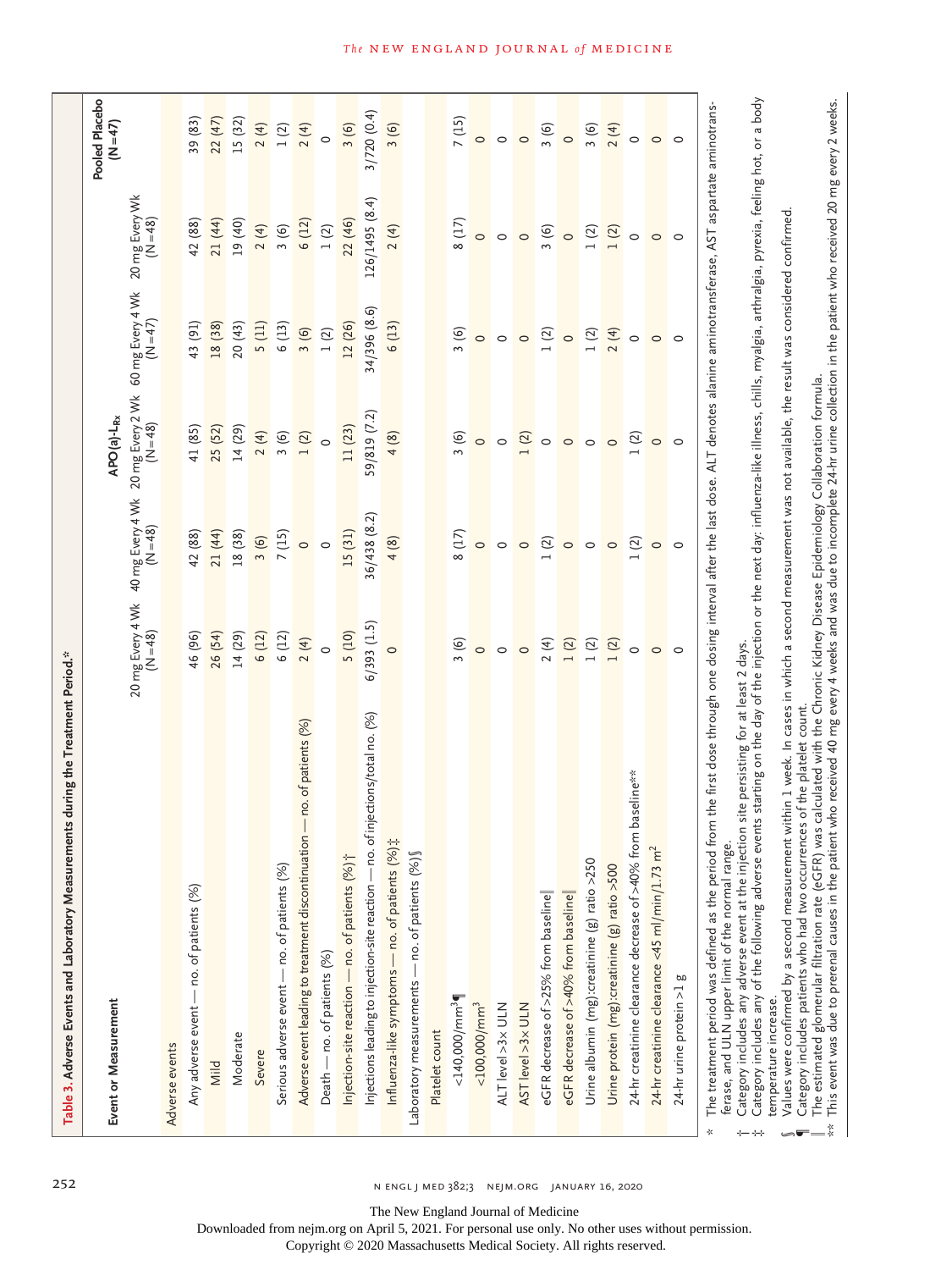| Event or Measurement                                                            |                                                    |                                                           | APO(a)-L <sub>Rx</sub>                                 |                                                   |                                                         | Pooled Placebo<br>$(N = 47)$                    |
|---------------------------------------------------------------------------------|----------------------------------------------------|-----------------------------------------------------------|--------------------------------------------------------|---------------------------------------------------|---------------------------------------------------------|-------------------------------------------------|
|                                                                                 |                                                    | 20 mg Every 4 Wk 40 mg Every 4 Wk<br>(N = 48)<br>(N = 48) | $20 \text{ mg}$ Every 2 Wk<br>(N = 48)                 | 60 mg Every 4 Wk<br>$(N=47)$                      | 20 mg Every Wk<br>(N=48)                                |                                                 |
| Adverse events                                                                  |                                                    |                                                           |                                                        |                                                   |                                                         |                                                 |
| Any adverse event - no. of patients (%)                                         | 46 (96)                                            | 42 (88)                                                   | 41 (85)                                                | 43 (91)                                           | 42 (88)                                                 | 39 (83)                                         |
| Mild                                                                            | 26 (54)                                            | 21 (44)                                                   | 25 (52)                                                | 18 (38)                                           | 21 (44)                                                 | 22 (47)                                         |
| Moderate                                                                        | 14 (29)                                            | 18 (38)                                                   | 14 (29)                                                | 20(43)                                            | 19 (40)                                                 | 15 (32)                                         |
| Severe                                                                          | 6(12)                                              |                                                           |                                                        | $\frac{5(11)}{6(13)}$                             | $\begin{pmatrix} 4 \\ 3 \\ 6 \end{pmatrix}$             |                                                 |
| Serious adverse event - no. of patients (%)                                     | 6(12)                                              | $\frac{3(6)}{7(15)}$                                      |                                                        |                                                   |                                                         |                                                 |
| Adverse event leading to treatment discontinuation - no. of patients (%)        | 2(4)                                               | $\circ$ $\circ$                                           | $\frac{1}{2}$<br>$\frac{1}{2}$<br>$\frac{1}{2}$<br>$0$ | $\begin{array}{c} 3 & (6) \\ 1 & (2) \end{array}$ |                                                         | $\frac{4}{2}$<br>$\frac{1}{2}$<br>$\frac{4}{2}$ |
| Death — no. of patients (%)                                                     | $\circ$                                            |                                                           |                                                        |                                                   | 6 (12)<br>1 (2)                                         | $\circ$                                         |
| Injection-site reaction - no. of patients (%) ;                                 | 5(10)                                              | 15 (31)                                                   | 11 (23)                                                | 12 (26)                                           | 22 (46)                                                 | 3(6)                                            |
| Injections leading to injection-site reaction — no. of injections/total no. (%) | $6/393$ $(1.5)$                                    | 6/438(8.2)                                                | 9/819 (7.2)                                            | $34/396(8.6)$<br>6(13)                            | (26/1495(8.4))                                          | 3/720(0.4)                                      |
| Influenza-like symptoms — no. of patients $(%)$ $\ddagger$                      |                                                    | 4(8)                                                      | 4(8)                                                   |                                                   | 2(4)                                                    | 3(6)                                            |
| Laboratory measurements — no. of patients (%) §                                 |                                                    |                                                           |                                                        |                                                   |                                                         |                                                 |
| Platelet count                                                                  |                                                    |                                                           |                                                        |                                                   |                                                         |                                                 |
| $<$ 140,000/mm <sup>3</sup>                                                     |                                                    | 8(17)                                                     | 3(6)                                                   | 3(6)                                              | 8(17)                                                   |                                                 |
| $<$ 100,000/mm <sup>3</sup>                                                     | $\frac{1}{2}$ 0 0                                  | $\circ$                                                   | $\circ$                                                | $\circ$                                           |                                                         | $\begin{array}{c} 7 \ (15) \\ 0 \end{array}$    |
| ALT level >3x ULN                                                               |                                                    | $\circ$                                                   | $\circ$                                                | $\circ$                                           | $\circ$                                                 | $\circ$                                         |
| AST level >3x ULN                                                               | $\circ$                                            | $\circ$                                                   | $\frac{2}{1}$ o                                        | $\circ$                                           | $\circ$                                                 | $\circ$                                         |
| eGFR decrease of >25% from baseline                                             | $2\frac{4}{1}$<br>$1\frac{2}{1}$<br>$1\frac{2}{1}$ | $\frac{1}{2}$                                             |                                                        | $\frac{2}{10}$                                    | $\begin{array}{c}\n 3 & 6 \\  \hline\n 0\n \end{array}$ | 3(6)                                            |
| eGFR decrease of >40% from baseline                                             |                                                    |                                                           | $\circ$                                                |                                                   |                                                         |                                                 |
| Urine albumin (mg):creatinine $(g)$ ratio >250                                  |                                                    | $\circ$                                                   | $\circ$                                                |                                                   |                                                         |                                                 |
| Urine protein (mg):creatinine (g) ratio >500                                    |                                                    | $\circ$                                                   | $\circ$                                                | $1 (2)$<br>2(4)                                   | $\begin{array}{c} 1 & (2) \\ 1 & (2) \end{array}$       | $\frac{3(6)}{2(4)}$                             |
| 24-hr creatinine clearance decrease of >40% from baseline**                     | $\circ$                                            | 1(2)                                                      | 1(2)                                                   | $\circ$                                           | $\circ$                                                 |                                                 |
| 24-hr creatinine clearance <45 ml/min/1.73 $m^2$                                | $\circ$ $\circ$                                    | $\circ$ $\circ$                                           | $\circ$ $\circ$                                        | $\circ$                                           | $\circ$                                                 | $\circ$ $\circ$                                 |
| 24-hr urine protein >1 g                                                        |                                                    |                                                           |                                                        | $\circ$                                           | $\circ$                                                 |                                                 |

 $\dot{x}$  Category includes any of the following adverse events starting on the day of the injection or the next day: influenza-like illness, chills, myalgia, arthralgia, pyrexia, feeling hot, or a body Category includes any of the following adverse events starting on the day of the injection or the next day: influenza-like illness, chills, myalgia, arthralgia, pyrexia, feeling hot, or a body temperature increase. temperature increase. ‡

Values were confirmed by a second measurement within 1 week. In cases in which a second measurement was not available, the result was considered confirmed. Values were confirmed by a second measurement within 1 week. In cases in which a second measurement was not available, the result was considered confirmed.

Category includes patients who had two occurrences of the platelet count. Category includes patients who had two occurrences of the platelet count. ¶

§

 $\parallel$  The estimated glomerular filtration rate (eGFR) was calculated with the Chronic Kidney Disease Epidemiology Collaboration formula.

The estimated glomerular filtration rate (eGFR) was calculated with the Chronic Kidney Disease Epidemiology Collaboration formula.<br>This event was due to prerenal causes in the patient who received 40 mg every 4 weeks and w  $^{**}$  This event was due to prerenal causes in the patient who received 40 mg every 4 weeks and was due to incomplete 24-hr urine collection in the patient who received 20 mg every 2 weeks. ķ

252 n engl j med 382;3 nejm.org January 16, 2020

The New England Journal of Medicine

Downloaded from nejm.org on April 5, 2021. For personal use only. No other uses without permission.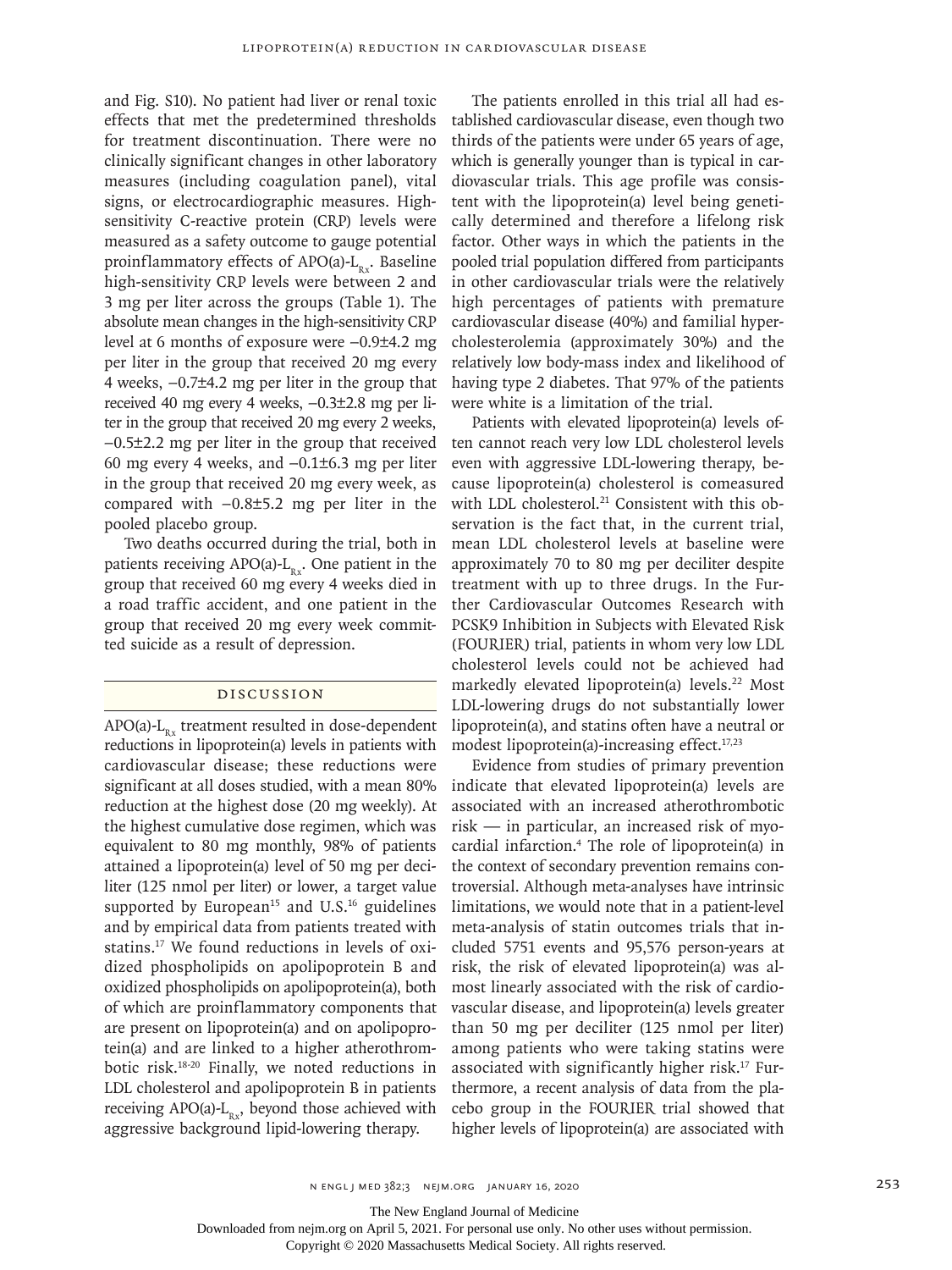and Fig. S10). No patient had liver or renal toxic effects that met the predetermined thresholds for treatment discontinuation. There were no clinically significant changes in other laboratory measures (including coagulation panel), vital signs, or electrocardiographic measures. Highsensitivity C-reactive protein (CRP) levels were measured as a safety outcome to gauge potential proinflammatory effects of  $APO(a)-L_{p}$ . Baseline high-sensitivity CRP levels were between 2 and 3 mg per liter across the groups (Table 1). The absolute mean changes in the high-sensitivity CRP level at 6 months of exposure were −0.9±4.2 mg per liter in the group that received 20 mg every 4 weeks, −0.7±4.2 mg per liter in the group that received 40 mg every 4 weeks, −0.3±2.8 mg per liter in the group that received 20 mg every 2 weeks, −0.5±2.2 mg per liter in the group that received 60 mg every 4 weeks, and −0.1±6.3 mg per liter in the group that received 20 mg every week, as compared with −0.8±5.2 mg per liter in the pooled placebo group.

Two deaths occurred during the trial, both in patients receiving APO(a)- $L_{p,r}$ . One patient in the group that received 60 mg every 4 weeks died in a road traffic accident, and one patient in the group that received 20 mg every week committed suicide as a result of depression.

# Discussion

 $APO(a)-L<sub>n</sub>$ , treatment resulted in dose-dependent reductions in lipoprotein(a) levels in patients with cardiovascular disease; these reductions were significant at all doses studied, with a mean 80% reduction at the highest dose (20 mg weekly). At the highest cumulative dose regimen, which was equivalent to 80 mg monthly, 98% of patients attained a lipoprotein(a) level of 50 mg per deciliter (125 nmol per liter) or lower, a target value supported by European<sup>15</sup> and U.S.<sup>16</sup> guidelines and by empirical data from patients treated with statins.17 We found reductions in levels of oxidized phospholipids on apolipoprotein B and oxidized phospholipids on apolipoprotein(a), both of which are proinflammatory components that are present on lipoprotein(a) and on apolipoprotein(a) and are linked to a higher atherothrombotic risk.18-20 Finally, we noted reductions in LDL cholesterol and apolipoprotein B in patients receiving APO(a)- $L_{Rx}$ , beyond those achieved with aggressive background lipid-lowering therapy.

The patients enrolled in this trial all had established cardiovascular disease, even though two thirds of the patients were under 65 years of age, which is generally younger than is typical in cardiovascular trials. This age profile was consistent with the lipoprotein(a) level being genetically determined and therefore a lifelong risk factor. Other ways in which the patients in the pooled trial population differed from participants in other cardiovascular trials were the relatively high percentages of patients with premature cardiovascular disease (40%) and familial hypercholesterolemia (approximately 30%) and the relatively low body-mass index and likelihood of having type 2 diabetes. That 97% of the patients were white is a limitation of the trial.

Patients with elevated lipoprotein(a) levels often cannot reach very low LDL cholesterol levels even with aggressive LDL-lowering therapy, because lipoprotein(a) cholesterol is comeasured with LDL cholesterol.<sup>21</sup> Consistent with this observation is the fact that, in the current trial, mean LDL cholesterol levels at baseline were approximately 70 to 80 mg per deciliter despite treatment with up to three drugs. In the Further Cardiovascular Outcomes Research with PCSK9 Inhibition in Subjects with Elevated Risk (FOURIER) trial, patients in whom very low LDL cholesterol levels could not be achieved had markedly elevated lipoprotein(a) levels.<sup>22</sup> Most LDL-lowering drugs do not substantially lower lipoprotein(a), and statins often have a neutral or modest lipoprotein(a)-increasing effect.<sup>17,23</sup>

Evidence from studies of primary prevention indicate that elevated lipoprotein(a) levels are associated with an increased atherothrombotic risk — in particular, an increased risk of myocardial infarction.4 The role of lipoprotein(a) in the context of secondary prevention remains controversial. Although meta-analyses have intrinsic limitations, we would note that in a patient-level meta-analysis of statin outcomes trials that included 5751 events and 95,576 person-years at risk, the risk of elevated lipoprotein(a) was almost linearly associated with the risk of cardiovascular disease, and lipoprotein(a) levels greater than 50 mg per deciliter (125 nmol per liter) among patients who were taking statins were associated with significantly higher risk.17 Furthermore, a recent analysis of data from the placebo group in the FOURIER trial showed that higher levels of lipoprotein(a) are associated with

The New England Journal of Medicine

Downloaded from nejm.org on April 5, 2021. For personal use only. No other uses without permission.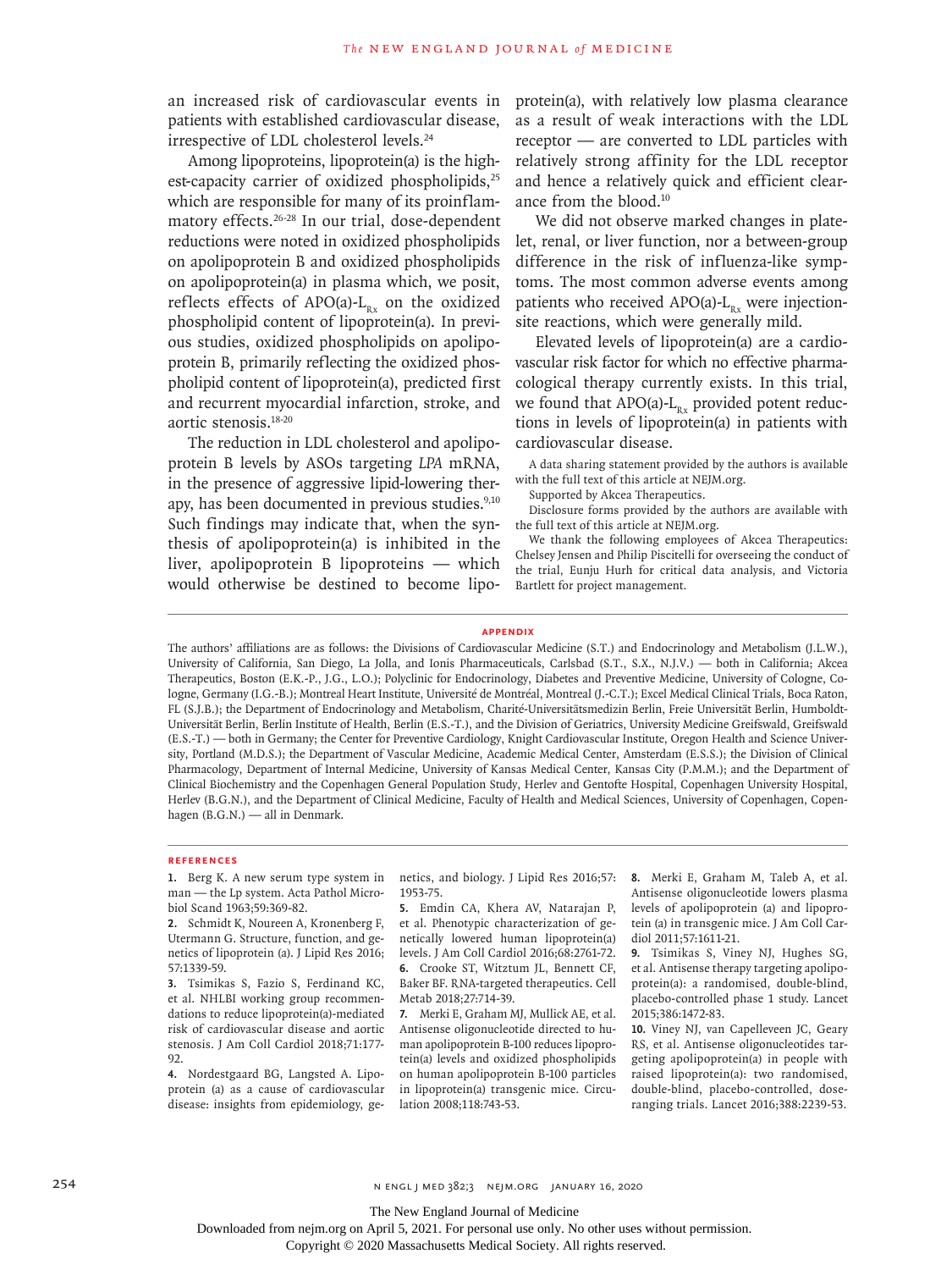an increased risk of cardiovascular events in patients with established cardiovascular disease, irrespective of LDL cholesterol levels.<sup>24</sup>

Among lipoproteins, lipoprotein(a) is the highest-capacity carrier of oxidized phospholipids,<sup>25</sup> which are responsible for many of its proinflammatory effects.26-28 In our trial, dose-dependent reductions were noted in oxidized phospholipids on apolipoprotein B and oxidized phospholipids on apolipoprotein(a) in plasma which, we posit, reflects effects of APO(a)- $L_{n_x}$  on the oxidized phospholipid content of lipoprotein(a). In previous studies, oxidized phospholipids on apolipoprotein B, primarily reflecting the oxidized phospholipid content of lipoprotein(a), predicted first and recurrent myocardial infarction, stroke, and aortic stenosis.18-20

The reduction in LDL cholesterol and apolipoprotein B levels by ASOs targeting *LPA* mRNA, in the presence of aggressive lipid-lowering therapy, has been documented in previous studies.<sup>9,10</sup> Such findings may indicate that, when the synthesis of apolipoprotein(a) is inhibited in the liver, apolipoprotein B lipoproteins — which would otherwise be destined to become lipoprotein(a), with relatively low plasma clearance as a result of weak interactions with the LDL receptor — are converted to LDL particles with relatively strong affinity for the LDL receptor and hence a relatively quick and efficient clearance from the blood.10

We did not observe marked changes in platelet, renal, or liver function, nor a between-group difference in the risk of influenza-like symptoms. The most common adverse events among patients who received APO(a)- $L_{p_{x}}$  were injectionsite reactions, which were generally mild.

Elevated levels of lipoprotein(a) are a cardiovascular risk factor for which no effective pharmacological therapy currently exists. In this trial, we found that APO(a)- $L_{R_x}$  provided potent reductions in levels of lipoprotein(a) in patients with cardiovascular disease.

A data sharing statement provided by the authors is available with the full text of this article at NEJM.org.

Supported by Akcea Therapeutics.

Disclosure forms provided by the authors are available with the full text of this article at NEJM.org.

We thank the following employees of Akcea Therapeutics: Chelsey Jensen and Philip Piscitelli for overseeing the conduct of the trial, Eunju Hurh for critical data analysis, and Victoria Bartlett for project management.

**Appendix**

The authors' affiliations are as follows: the Divisions of Cardiovascular Medicine (S.T.) and Endocrinology and Metabolism (J.L.W.), University of California, San Diego, La Jolla, and Ionis Pharmaceuticals, Carlsbad (S.T., S.X., N.J.V.) — both in California; Akcea Therapeutics, Boston (E.K.-P., J.G., L.O.); Polyclinic for Endocrinology, Diabetes and Preventive Medicine, University of Cologne, Cologne, Germany (I.G.-B.); Montreal Heart Institute, Université de Montréal, Montreal (J.-C.T.); Excel Medical Clinical Trials, Boca Raton, FL (S.J.B.); the Department of Endocrinology and Metabolism, Charité-Universitätsmedizin Berlin, Freie Universität Berlin, Humboldt-Universität Berlin, Berlin Institute of Health, Berlin (E.S.-T.), and the Division of Geriatrics, University Medicine Greifswald, Greifswald (E.S.-T.) — both in Germany; the Center for Preventive Cardiology, Knight Cardiovascular Institute, Oregon Health and Science University, Portland (M.D.S.); the Department of Vascular Medicine, Academic Medical Center, Amsterdam (E.S.S.); the Division of Clinical Pharmacology, Department of Internal Medicine, University of Kansas Medical Center, Kansas City (P.M.M.); and the Department of Clinical Biochemistry and the Copenhagen General Population Study, Herlev and Gentofte Hospital, Copenhagen University Hospital, Herlev (B.G.N.), and the Department of Clinical Medicine, Faculty of Health and Medical Sciences, University of Copenhagen, Copenhagen (B.G.N.) — all in Denmark.

#### **References**

**1.** Berg K. A new serum type system in man — the Lp system. Acta Pathol Microbiol Scand 1963;59:369-82.

**2.** Schmidt K, Noureen A, Kronenberg F, Utermann G. Structure, function, and genetics of lipoprotein (a). J Lipid Res 2016; 57:1339-59.

**3.** Tsimikas S, Fazio S, Ferdinand KC, et al. NHLBI working group recommendations to reduce lipoprotein(a)-mediated risk of cardiovascular disease and aortic stenosis. J Am Coll Cardiol 2018;71:177- 92.

**4.** Nordestgaard BG, Langsted A. Lipoprotein (a) as a cause of cardiovascular disease: insights from epidemiology, genetics, and biology. J Lipid Res 2016;57: 1953-75.

**5.** Emdin CA, Khera AV, Natarajan P, et al. Phenotypic characterization of genetically lowered human lipoprotein(a) levels. J Am Coll Cardiol 2016;68:2761-72. **6.** Crooke ST, Witztum JL, Bennett CF, Baker BF. RNA-targeted therapeutics. Cell Metab 2018;27:714-39.

**7.** Merki E, Graham MJ, Mullick AE, et al. Antisense oligonucleotide directed to human apolipoprotein B-100 reduces lipoprotein(a) levels and oxidized phospholipids on human apolipoprotein B-100 particles in lipoprotein(a) transgenic mice. Circulation 2008;118:743-53.

**8.** Merki E, Graham M, Taleb A, et al. Antisense oligonucleotide lowers plasma levels of apolipoprotein (a) and lipoprotein (a) in transgenic mice. J Am Coll Cardiol 2011;57:1611-21.

**9.** Tsimikas S, Viney NJ, Hughes SG, et al. Antisense therapy targeting apolipoprotein(a): a randomised, double-blind, placebo-controlled phase 1 study. Lancet 2015;386:1472-83.

**10.** Viney NJ, van Capelleveen JC, Geary RS, et al. Antisense oligonucleotides targeting apolipoprotein(a) in people with raised lipoprotein(a): two randomised, double-blind, placebo-controlled, doseranging trials. Lancet 2016;388:2239-53.

254 n engl j med 382;3 nejm.org January 16, 2020

The New England Journal of Medicine

Downloaded from nejm.org on April 5, 2021. For personal use only. No other uses without permission.